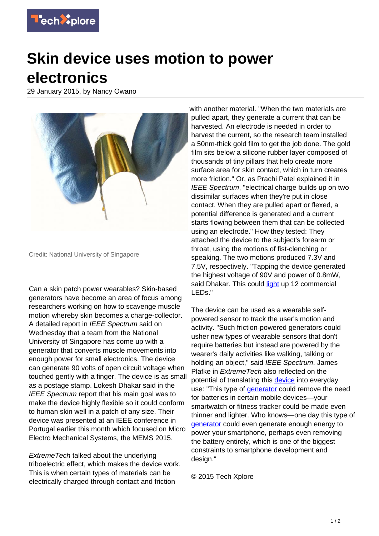

## **Skin device uses motion to power electronics**

29 January 2015, by Nancy Owano



Credit: National University of Singapore

Can a skin patch power wearables? Skin-based generators have become an area of focus among researchers working on how to scavenge muscle motion whereby skin becomes a charge-collector. A detailed report in IEEE Spectrum said on Wednesday that a team from the National University of Singapore has come up with a generator that converts muscle movements into enough power for small electronics. The device can generate 90 volts of open circuit voltage when touched gently with a finger. The device is as small as a postage stamp. Lokesh Dhakar said in the IEEE Spectrum report that his main goal was to make the device highly flexible so it could conform to human skin well in a patch of any size. Their device was presented at an IEEE conference in Portugal earlier this month which focused on Micro Electro Mechanical Systems, the MEMS 2015.

Extreme Tech talked about the underlying triboelectric effect, which makes the device work. This is when certain types of materials can be electrically charged through contact and friction

with another material. "When the two materials are pulled apart, they generate a current that can be harvested. An electrode is needed in order to harvest the current, so the research team installed a 50nm-thick gold film to get the job done. The gold film sits below a silicone rubber layer composed of thousands of tiny pillars that help create more surface area for skin contact, which in turn creates more friction." Or, as Prachi Patel explained it in IEEE Spectrum, "electrical charge builds up on two dissimilar surfaces when they're put in close contact. When they are pulled apart or flexed, a potential difference is generated and a current starts flowing between them that can be collected using an electrode." How they tested: They attached the device to the subject's forearm or throat, using the motions of fist-clenching or speaking. The two motions produced 7.3V and 7.5V, respectively. "Tapping the device generated the highest voltage of 90V and power of 0.8mW, said Dhakar. This could [light](http://spectrum.ieee.org/tech-talk/biomedical/devices/skinbased-generators-scavenge-muscle-motion-to-power-wearables) up 12 commercial LEDs."

The device can be used as a wearable selfpowered sensor to track the user's motion and activity. "Such friction-powered generators could usher new types of wearable sensors that don't require batteries but instead are powered by the wearer's daily activities like walking, talking or holding an object," said IEEE Spectrum. James Plafke in **ExtremeTech** also reflected on the potential of translating this [device](https://techxplore.com/tags/device/) into everyday use: "This type of [generator](https://techxplore.com/tags/generator/) could remove the need for batteries in certain mobile devices—your smartwatch or fitness tracker could be made even thinner and lighter. Who knows—one day this type of [generator](http://www.extremetech.com/mobile/198519-flexible-nanogenerator-harvests-muscle-movement-to-power-mobile-devices) could even generate enough energy to power your smartphone, perhaps even removing the battery entirely, which is one of the biggest constraints to smartphone development and design."

© 2015 Tech Xplore